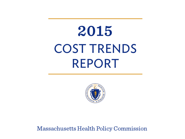# 2015 **COST TRENDS REPORT**



Massachusetts Health Policy Commission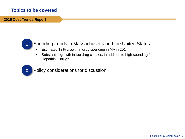# **Topics to be covered**

 **2015 Cost Trends Report**



- Spending trends in Massachusetts and the United States
	- Estimated 13% growth in drug spending in MA in 2014
	- Substantial growth in top drug classes, in addition to high spending for Hepatitis C drugs



Policy considerations for discussion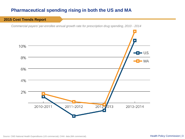# **Pharmaceutical spending rising in both the US and MA**



Source: CMS National Health Expenditures (US commercial), CHIA data (MA commercial). **Health Policy Commission | 3**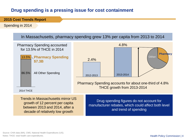# **Drug spending is a pressing issue for cost containment**

 **2015 Cost Trends Report**

Spending in 2014

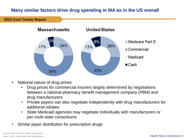# **Many similar factors drive drug spending in MA as in the US overall**

 **2015 Cost Trends Report**



- National nature of drug prices
	- Drug prices for commercial insurers largely determined by negotiations between a national pharmacy benefit management company (PBM) and drug manufacturers
	- Private payers can also negotiate independently with drug manufacturers for additional rebates
	- State Medicaid agencies may negotiate individually with manufacturers or join multi-state consortiums
- Similar payer distribution for prescription drugs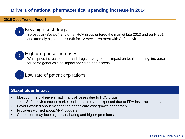# **Drivers of national pharmaceutical spending increase in 2014**

#### **2015 Cost Trends Report**



#### New high-cost drugs

Sofosbuvir (Sovaldi) and other HCV drugs entered the market late 2013 and early 2014 at extremely high prices: \$84k for 12-week treatment with Sofosbuvir



# 2. High drug price increases

While price increases for brand drugs have greatest impact on total spending, increases for some generics also impact spending and access



# Low rate of patent expirations

### **Stakeholder Impact**

- Most commercial payers had financial losses due to HCV drugs
	- Sofosbuvir came to market earlier than payers expected due to FDA fast track approval
- Payers worried about meeting the health care cost growth benchmark
- Providers worried about APM budgets
- Consumers may face high cost-sharing and higher premiums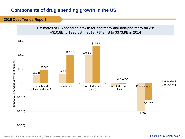# **Components of drug spending growth in the US**

#### **2015 Cost Trends Report**

Estimates of US spending growth for pharmacy and non-pharmacy drugs: +\$10.8B to \$330.5B in 2013, +\$43.4B to \$373.9B in 2014

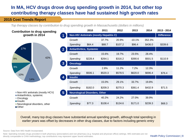# **In MA, HCV drugs drove drug spending growth in 2014, but other top contributing therapy classes have had sustained high growth rates**

#### **2015 Cost Trends Report**

*Top therapy classes by contribution to drug spending growth in Massachusetts (dollars in millions)*

| <b>Contribution to drug spending</b>                               |                                    | 2010                                           | 2011    | 2012    | 2013     | 2014    | 2013 - 2014 |  |
|--------------------------------------------------------------------|------------------------------------|------------------------------------------------|---------|---------|----------|---------|-------------|--|
| growth in 2014                                                     | $\overline{1}$                     | <b>Non-HIV Antivirals (mostly Hepatitis C)</b> |         |         |          |         |             |  |
|                                                                    | Growth                             |                                                | 37.7%   | 20.9%   | $-10.1%$ | 352.3%  |             |  |
|                                                                    | Spending                           | \$64.4                                         | \$88.7  | \$107.2 | \$96.4   | \$436.0 | \$339.6     |  |
| 17%                                                                | $\overline{2}$                     | <b>Antiarthritics, Systemic</b>                |         |         |          |         |             |  |
|                                                                    | Growth                             |                                                | 15.6%   | 19.7%   | 23.5%    | 28.4%   |             |  |
| 42%<br>9%                                                          | Spending                           | \$228.4                                        | \$264.1 | \$316.2 | \$390.6  | \$501.5 | \$110.9     |  |
|                                                                    | 3<br><b>Oncology</b>               |                                                |         |         |          |         |             |  |
| 9%                                                                 | Growth                             |                                                | 2.8%    | 11.2%   | 7.2%     | 12.3%   |             |  |
| 10%                                                                | Spending                           | \$506.1                                        | \$520.3 | \$578.5 | \$620.0  | \$696.4 | \$76.4      |  |
| 14%                                                                | <b>Insulin</b><br>$\boldsymbol{4}$ |                                                |         |         |          |         |             |  |
|                                                                    | Growth                             |                                                | 15.0%   | 29.1%   | 33.7%    | 19.8%   |             |  |
|                                                                    | Spending                           | \$182.0                                        | \$209.3 | \$270.3 | \$361.4  | \$432.9 | \$71.5      |  |
| Non-HIV antivirals (mostly HCV)                                    | 5 <sub>5</sub>                     | <b>Neurological Disorders, Other</b>           |         |         |          |         |             |  |
| Antiarthritics, systemic<br>■ Oncology                             | Growth                             |                                                | 40.2%   | 24.2%   | 27.0%    | 39.9%   |             |  |
| $\blacksquare$ Insulin<br>Neurological disorders, other<br>■ Other | Spending                           | \$77.3                                         | \$108.4 | \$134.6 | \$171.0  | \$239.3 | \$68.3      |  |

Overall, many top drug classes have substantial annual spending growth, although total spending in earlier years was offset by decreases in other drug classes, due to factors including generic entry

Source: Data from IMS Health Incorporated.

Note: Spending includes drugs provided in both pharmacy (prescription) and non-pharmacy (e.g. hospital and physician office) settings. IMS estimates are not directly comparable to CHIA methodology; top contributions may represent upper bound estimates.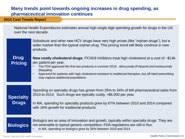# **Many trends point towards ongoing increases in drug spending, as pharmaceutical innovation continues**

#### **2015 Cost Trends Report**

National Health Expenditures estimates annual high single digit spending growth for drugs in the US over the next decade.

| <b>Drug</b><br><b>Pricing</b>    | Sofosbuvir and other new HCV drugs have very high prices (like "orphan drugs"), but a<br>wider market than the typical orphan drug. This pricing trend will likely continue in new<br>products.<br><b>New costly cholesterol drugs.</b> PCSK9 inhibitors treat high cholesterol at a cost of $\sim $14k$<br>per patient per year.<br>The FDA approved the first two products in summer 2015: alirocumab (Praluent) and evolocumab<br>(Repatha)<br>Approved for patients with high cholesterol resistant to traditional therapies, but off-label prescribing<br>$\bullet$<br>may capture additional populations |
|----------------------------------|----------------------------------------------------------------------------------------------------------------------------------------------------------------------------------------------------------------------------------------------------------------------------------------------------------------------------------------------------------------------------------------------------------------------------------------------------------------------------------------------------------------------------------------------------------------------------------------------------------------|
| <b>Specialty</b><br><b>Drugs</b> | Spending on specialty drugs has grown from 26% to 34% of MA pharmaceutical sales from<br>2010 to 2014. Such drugs are typically costly, >\$6,000 per year.<br>In MA, spending for specialty products grew by 67% between 2010 and 2014 compared<br>with 16% growth for traditional products.                                                                                                                                                                                                                                                                                                                   |
|                                  | Biologics are an area of innovation and growth, typically within specialty drugs. They are                                                                                                                                                                                                                                                                                                                                                                                                                                                                                                                     |

not amenable to typical generic competition; FDA regulations are still in flux.

• In MA, spending on biologics grew by 56% between 2010 and 2014

**Biologics**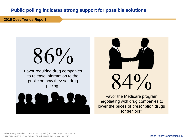# **Public polling indicates strong support for possible solutions**

 **2015 Cost Trends Report**

# $86\%$

Favor requiring drug companies to release information to the public on how they set drug pricing<sup>+</sup>





 $\mathsf{L}^0\mathsf{/}_\mathsf{O}$ 

Favor the Medicare program negotiating with drug companies to lower the prices of prescription drugs for seniors\*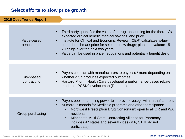# **Select efforts to slow price growth**

| <b>2015 Cost Trends Report</b> |                        |                                                                                                                                                                                                                                                                                                                                                                                               |
|--------------------------------|------------------------|-----------------------------------------------------------------------------------------------------------------------------------------------------------------------------------------------------------------------------------------------------------------------------------------------------------------------------------------------------------------------------------------------|
|                                |                        |                                                                                                                                                                                                                                                                                                                                                                                               |
| Value-based<br>benchmarks      | $\bullet$<br>$\bullet$ | Third party quantifies the value of a drug, accounting for the therapy's<br>expected clinical benefit, medical savings, and price<br>Institute for Clinical and Economic Review (ICER) calculates value-<br>based benchmark price for selected new drugs; plans to evaluate 15-<br>20 drugs over the next two years<br>Value can be used in price negotiations and potentially benefit design |
|                                |                        |                                                                                                                                                                                                                                                                                                                                                                                               |
| Risk-based<br>contracting      | $\bullet$              | Payers contract with manufacturers to pay less / more depending on<br>whether drug produces expected outcomes<br>Harvard Pilgrim Health Care developed a performance-based rebate<br>model for PCSK9 evolocumab (Repatha)                                                                                                                                                                     |
| Group purchasing               | $\bullet$              | Payers pool purchasing power to improve leverage with manufacturers<br>Numerous models for Medicaid programs and other participants:<br>Northwest Prescription Drug Consortium: open to all OR and WA<br>residents<br>Minnesota Multi-State Contracting Alliance for Pharmacy:<br>$\bullet$<br>includes 47 states and several cities (MA, CT, IL do not<br>participate)                       |
|                                |                        |                                                                                                                                                                                                                                                                                                                                                                                               |

Source: "Harvard Pilgrim strikes 'pay-for-performance' deal for cholesterol drug." Boston Globe, November 08, 2015.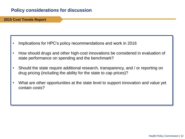# **Policy considerations for discussion**

 **2015 Cost Trends Report**

- Implications for HPC's policy recommendations and work in 2016
- How should drugs and other high-cost innovations be considered in evaluation of state performance on spending and the benchmark?
- Should the state require additional research, transparency, and / or reporting on drug pricing (including the ability for the state to cap prices)?
- What are other opportunities at the state level to support innovation and value yet contain costs?